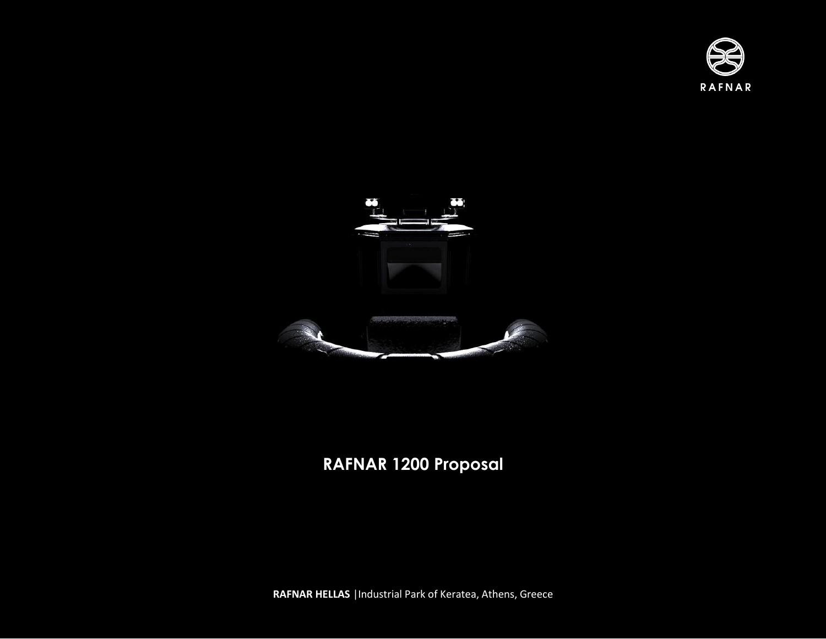



## **RAFNAR 1200 Proposal**

**RAFNAR HELLAS** |Industrial Park of Keratea, Athens, Greece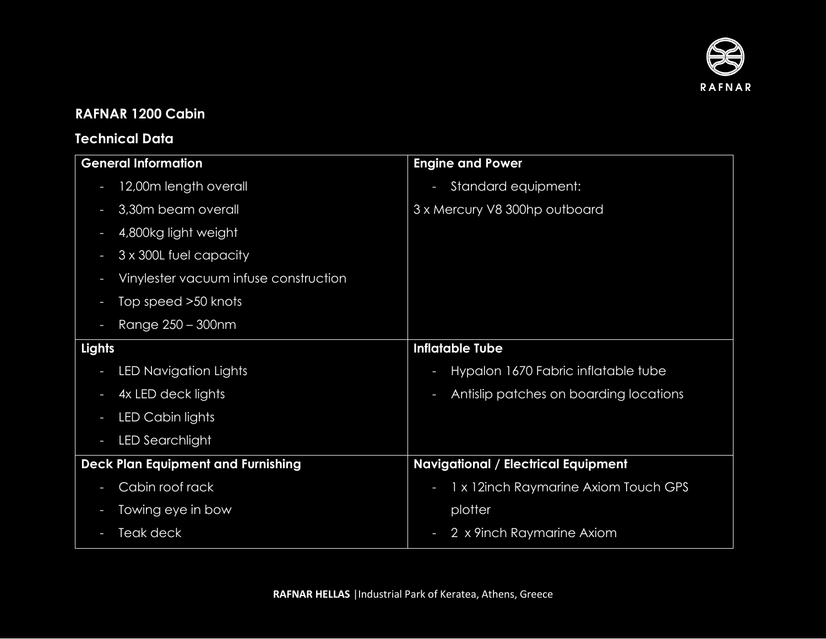

## **RAFNAR 1200 Cabin**

## **Technical Data**

| <b>General Information</b>                | <b>Engine and Power</b>                     |
|-------------------------------------------|---------------------------------------------|
| 12,00m length overall                     | Standard equipment:<br>T                    |
| 3,30m beam overall                        | 3 x Mercury V8 300hp outboard               |
| 4,800kg light weight                      |                                             |
| 3 x 300L fuel capacity                    |                                             |
| Vinylester vacuum infuse construction     |                                             |
| Top speed >50 knots                       |                                             |
| Range 250 - 300nm                         |                                             |
| Lights                                    | <b>Inflatable Tube</b>                      |
| LED Navigation Lights                     | Hypalon 1670 Fabric inflatable tube<br>ı    |
| 4x LED deck lights                        | Antislip patches on boarding locations<br>ı |
| LED Cabin lights                          |                                             |
| LED Searchlight                           |                                             |
| <b>Deck Plan Equipment and Furnishing</b> | <b>Navigational / Electrical Equipment</b>  |
| Cabin roof rack                           | 1 x 12inch Raymarine Axiom Touch GPS<br>T   |
| Towing eye in bow                         | plotter                                     |
| Teak deck                                 | 2 x 9inch Raymarine Axiom                   |